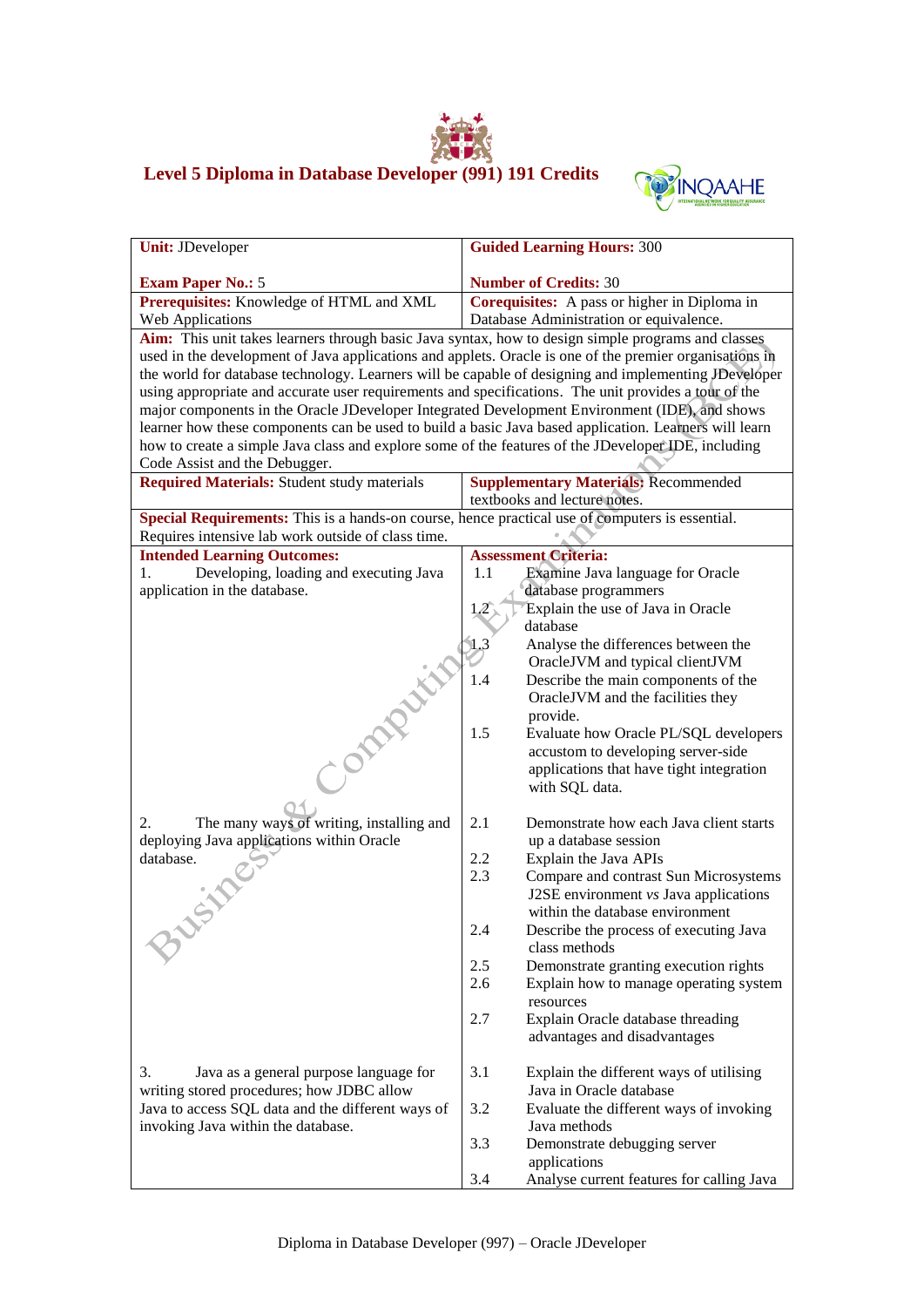## **Level 5 Diploma in Database Developer (991) 191 Credits**



| <b>Unit: JDeveloper</b>                                                                                                                                                                               | <b>Guided Learning Hours: 300</b>                                                                    |  |  |
|-------------------------------------------------------------------------------------------------------------------------------------------------------------------------------------------------------|------------------------------------------------------------------------------------------------------|--|--|
|                                                                                                                                                                                                       | <b>Number of Credits: 30</b>                                                                         |  |  |
| <b>Exam Paper No.: 5</b><br>Prerequisites: Knowledge of HTML and XML                                                                                                                                  | Corequisites: A pass or higher in Diploma in                                                         |  |  |
| Web Applications                                                                                                                                                                                      | Database Administration or equivalence.                                                              |  |  |
| Aim: This unit takes learners through basic Java syntax, how to design simple programs and classes                                                                                                    |                                                                                                      |  |  |
| used in the development of Java applications and applets. Oracle is one of the premier organisations in                                                                                               |                                                                                                      |  |  |
|                                                                                                                                                                                                       | the world for database technology. Learners will be capable of designing and implementing JDeveloper |  |  |
|                                                                                                                                                                                                       |                                                                                                      |  |  |
| using appropriate and accurate user requirements and specifications. The unit provides a tour of the<br>major components in the Oracle JDeveloper Integrated Development Environment (IDE), and shows |                                                                                                      |  |  |
| learner how these components can be used to build a basic Java based application. Learners will learn                                                                                                 |                                                                                                      |  |  |
| how to create a simple Java class and explore some of the features of the JDeveloper IDE, including                                                                                                   |                                                                                                      |  |  |
| Code Assist and the Debugger.                                                                                                                                                                         |                                                                                                      |  |  |
| <b>Required Materials:</b> Student study materials                                                                                                                                                    | <b>Supplementary Materials: Recommended</b>                                                          |  |  |
|                                                                                                                                                                                                       | textbooks and lecture notes.                                                                         |  |  |
| Special Requirements: This is a hands-on course, hence practical use of computers is essential.                                                                                                       |                                                                                                      |  |  |
| Requires intensive lab work outside of class time.                                                                                                                                                    |                                                                                                      |  |  |
| <b>Intended Learning Outcomes:</b>                                                                                                                                                                    | <b>Assessment Criteria:</b>                                                                          |  |  |
| 1.<br>Developing, loading and executing Java                                                                                                                                                          | 1.1<br>Examine Java language for Oracle                                                              |  |  |
| application in the database.                                                                                                                                                                          | database programmers                                                                                 |  |  |
|                                                                                                                                                                                                       | Explain the use of Java in Oracle<br>12                                                              |  |  |
|                                                                                                                                                                                                       | database                                                                                             |  |  |
|                                                                                                                                                                                                       | 1.3<br>Analyse the differences between the                                                           |  |  |
|                                                                                                                                                                                                       | OracleJVM and typical clientJVM                                                                      |  |  |
|                                                                                                                                                                                                       | 1.4<br>Describe the main components of the                                                           |  |  |
|                                                                                                                                                                                                       | OracleJVM and the facilities they                                                                    |  |  |
|                                                                                                                                                                                                       | provide.<br>1.5<br>Evaluate how Oracle PL/SQL developers                                             |  |  |
|                                                                                                                                                                                                       | accustom to developing server-side                                                                   |  |  |
|                                                                                                                                                                                                       | applications that have tight integration                                                             |  |  |
|                                                                                                                                                                                                       | with SQL data.                                                                                       |  |  |
|                                                                                                                                                                                                       |                                                                                                      |  |  |
| The many ways of writing, installing and<br>2.                                                                                                                                                        | 2.1<br>Demonstrate how each Java client starts                                                       |  |  |
| deploying Java applications within Oracle                                                                                                                                                             | up a database session                                                                                |  |  |
| database.                                                                                                                                                                                             | 2.2<br>Explain the Java APIs                                                                         |  |  |
|                                                                                                                                                                                                       | 2.3<br>Compare and contrast Sun Microsystems                                                         |  |  |
|                                                                                                                                                                                                       | J2SE environment vs Java applications                                                                |  |  |
|                                                                                                                                                                                                       | within the database environment                                                                      |  |  |
|                                                                                                                                                                                                       | 2.4<br>Describe the process of executing Java                                                        |  |  |
|                                                                                                                                                                                                       | class methods                                                                                        |  |  |
|                                                                                                                                                                                                       | 2.5<br>Demonstrate granting execution rights                                                         |  |  |
|                                                                                                                                                                                                       | 2.6<br>Explain how to manage operating system                                                        |  |  |
|                                                                                                                                                                                                       | resources                                                                                            |  |  |
|                                                                                                                                                                                                       | 2.7<br>Explain Oracle database threading                                                             |  |  |
|                                                                                                                                                                                                       | advantages and disadvantages                                                                         |  |  |
| 3.<br>Java as a general purpose language for                                                                                                                                                          | 3.1<br>Explain the different ways of utilising                                                       |  |  |
| writing stored procedures; how JDBC allow                                                                                                                                                             | Java in Oracle database                                                                              |  |  |
| Java to access SQL data and the different ways of                                                                                                                                                     | 3.2<br>Evaluate the different ways of invoking                                                       |  |  |
| invoking Java within the database.                                                                                                                                                                    | Java methods                                                                                         |  |  |
|                                                                                                                                                                                                       | 3.3<br>Demonstrate debugging server                                                                  |  |  |
|                                                                                                                                                                                                       | applications                                                                                         |  |  |
|                                                                                                                                                                                                       | 3.4<br>Analyse current features for calling Java                                                     |  |  |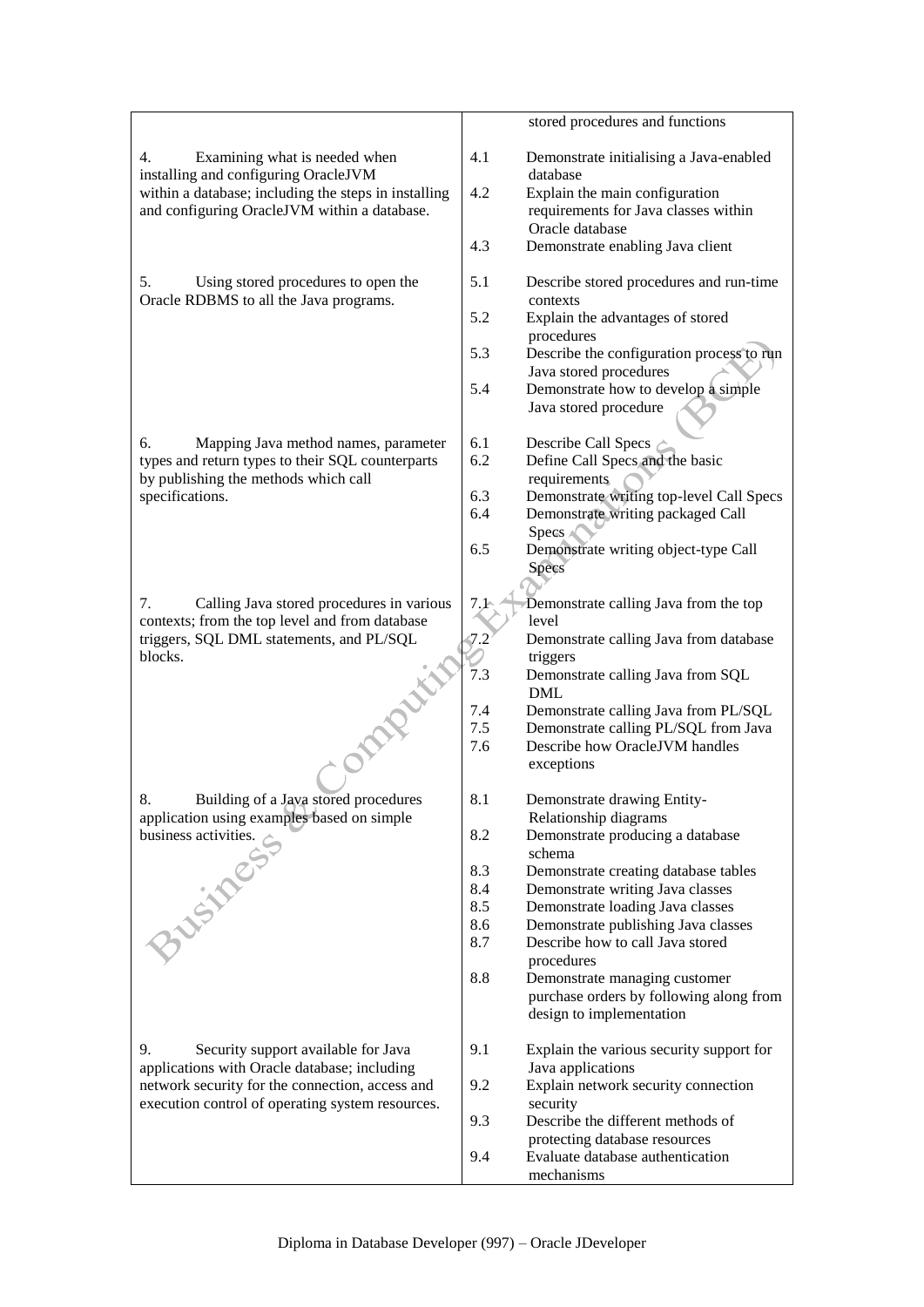|                                                                                                                                        | stored procedures and functions                                                                  |
|----------------------------------------------------------------------------------------------------------------------------------------|--------------------------------------------------------------------------------------------------|
| 4.<br>Examining what is needed when<br>installing and configuring OracleJVM                                                            | 4.1<br>Demonstrate initialising a Java-enabled<br>database                                       |
| within a database; including the steps in installing<br>and configuring OracleJVM within a database.                                   | 4.2<br>Explain the main configuration<br>requirements for Java classes within<br>Oracle database |
|                                                                                                                                        | 4.3<br>Demonstrate enabling Java client                                                          |
| Using stored procedures to open the<br>5.<br>Oracle RDBMS to all the Java programs.                                                    | 5.1<br>Describe stored procedures and run-time<br>contexts                                       |
|                                                                                                                                        | 5.2<br>Explain the advantages of stored<br>procedures                                            |
|                                                                                                                                        | 5.3<br>Describe the configuration process to run<br>Java stored procedures                       |
|                                                                                                                                        | 5.4<br>Demonstrate how to develop a simple<br>Java stored procedure                              |
| 6.<br>Mapping Java method names, parameter<br>types and return types to their SQL counterparts<br>by publishing the methods which call | 6.1<br>Describe Call Specs<br>6.2<br>Define Call Specs and the basic<br>requirements             |
| specifications.                                                                                                                        | 6.3<br>Demonstrate writing top-level Call Specs<br>6.4<br>Demonstrate writing packaged Call      |
|                                                                                                                                        | Specs A<br>6.5<br>Demonstrate writing object-type Call<br>Specs                                  |
|                                                                                                                                        |                                                                                                  |
| 7.<br>Calling Java stored procedures in various<br>contexts; from the top level and from database                                      | 7.1<br>Demonstrate calling Java from the top<br>level                                            |
| triggers, SQL DML statements, and PL/SQL                                                                                               | Demonstrate calling Java from database<br>7.2                                                    |
| blocks.<br>ompatiti                                                                                                                    | triggers<br>7.3<br>Demonstrate calling Java from SQL<br><b>DML</b>                               |
|                                                                                                                                        | 7.4<br>Demonstrate calling Java from PL/SQL                                                      |
|                                                                                                                                        | 7.5<br>Demonstrate calling PL/SQL from Java<br>Describe how OracleJVM handles<br>7.6             |
|                                                                                                                                        | exceptions                                                                                       |
| 8.<br>Building of a Java stored procedures<br>application using examples based on simple                                               | 8.1<br>Demonstrate drawing Entity-<br>Relationship diagrams                                      |
| business activities.<br>3 listes                                                                                                       | 8.2<br>Demonstrate producing a database<br>schema                                                |
|                                                                                                                                        | 8.3<br>Demonstrate creating database tables<br>8.4<br>Demonstrate writing Java classes           |
|                                                                                                                                        | 8.5<br>Demonstrate loading Java classes                                                          |
|                                                                                                                                        | 8.6<br>Demonstrate publishing Java classes                                                       |
|                                                                                                                                        | 8.7<br>Describe how to call Java stored<br>procedures                                            |
|                                                                                                                                        | 8.8<br>Demonstrate managing customer                                                             |
|                                                                                                                                        | purchase orders by following along from<br>design to implementation                              |
| 9.<br>Security support available for Java<br>applications with Oracle database; including                                              | 9.1<br>Explain the various security support for<br>Java applications                             |
| network security for the connection, access and<br>execution control of operating system resources.                                    | 9.2<br>Explain network security connection<br>security                                           |
|                                                                                                                                        | Describe the different methods of<br>9.3                                                         |
|                                                                                                                                        | protecting database resources<br>9.4<br>Evaluate database authentication                         |
|                                                                                                                                        | mechanisms                                                                                       |